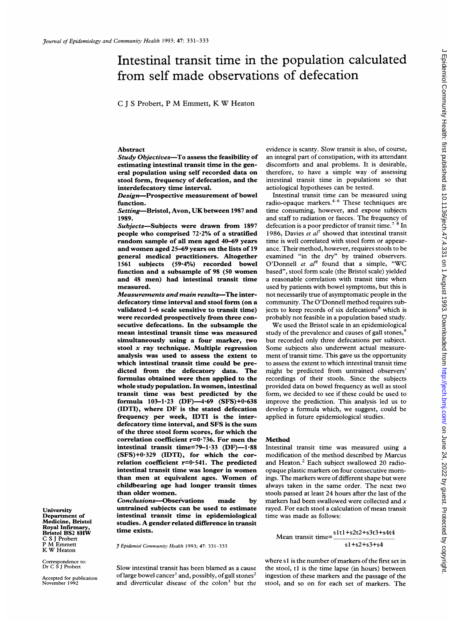# Intestinal transit time in the population calculated from self made observations of defecation

<sup>C</sup> <sup>J</sup> <sup>S</sup> Probert, <sup>P</sup> M Emmett, K W Heaton

### Abstract

Study Objectives-To assess the feasibility of estimating intestinal transit time in eral population using self recorded stool form, frequency of defecation interdefecatory time interval.

Design-Prospective measurement of bowel function.

Setting-Bristol, Avon, UK between 1987 and 1989.

Subjects-Subjects were drawn from 1897 people who comprised  $72.2%$  of a stratified random sample of all men aged 40 and women aged 25–69 years on the lists of 19 general medical practitioners. Al 1561 subjects (59.4%) recorded bowel function and a subsample of 98 (50 women and 48 men) had intestinal tran measured.

Measurements and main results-The interdefecatory time interval and stool form (on a validated 1-6 scale sensitive to transit time) were recorded prospectively from three consecutive defecations. In the subsample the mean intestinal transit time was n simultaneously using a four marker, two stool  $x$  ray technique. Multiple regression analysis was used to assess the <sup>c</sup> which intestinal transit time could be predicted from the defecatory data. The formulas obtained were then applied to the whole study population. In women, <sup>i</sup> transit time was best predicted formula  $103-1.23$  (DF) $-4.69$  (SFS) $+0.638$  $(IDTI)$ , where  $DF$  is the stated defecation frequency per week, IDTI is th defecatory time interval, and SFS is the sum of the three stool form scores, for which the correlation coefficient r=0-736. For men the Method intestinal transit time=79-1.33 (DF)-1.88  $(SFS)+0.329$  (IDTI), for which the correlation coefficient  $r=0.541$ . The predicted intestinal transit time was longer in women than men at equivalent ages. Women of childbearing age had longer trans than older women.

Conclusions-Observations made untrained subjects can be used to intestinal transit time in epidem studies. A gender related difference in transit time exists.

J Epidemiol Community Health 1993; 47: 331-333

Slow intestinal transit has been blamed as a cause of large bowel cancer<sup>1</sup> and, possibly, of gall stones<sup>2</sup> and diverticular disease of the colon<sup>3</sup> but the evidence is scanty. Slow transit is also, of course, an integral part of constipation, with its attendant discomforts and anal problems. It is desirable, therefore, to have a simple way of assessing intestinal transit time in populations so that aetiological hypotheses can be tested.

Intestinal transit time can be measured using radio-opaque markers.<sup>4-6</sup> These techniques are time consuming, however, and expose subjects and staff to radiation or faeces. The frequency of defecation is a poor predictor of transit time.<sup>7</sup>  $8$  In 1986, Davies et  $al^7$  showed that intestinal transit time is well correlated with stool form or appearance. Their method, however, requires stools to be examined "in the dry" by trained observers. O'Donnell et  $al^8$  found that a simple, "WC based", stool form scale (the Bristol scale) yielded a reasonable correlation with transit time when used by patients with bowel symptoms, but this is not necessarily true of asymptomatic people in the community. The O'Donnell method requires subjects to keep records of six defecations<sup>8</sup> which is probably not feasible in a population based study.

We used the Bristol scale in an epidemiological study of the prevalence and causes of gall stones,<sup>9</sup> but recorded only three defecations per subject. Some subjects also underwent actual measurement of transit time. This gave us the opportunity to assess the extent to which intestinal transit time might be predicted from untrained observers' recordings of their stools. Since the subjects provided data on bowel frequency as well as stool form, we decided to see if these could be used to improve the prediction. This analysis led us to develop a formula which, we suggest, could be applied in future epidemiological studies.

Intestinal transit time was measured using a modification of the method described by Marcus and Heaton.<sup>2</sup> Each subject swallowed 20 radioopaque plastic markers on four consecutive mornings. The markers were of different shape but were always taken in the same order. The next two stools passed at least 24 hours after the last of the by markers had been swallowed were collected and  $x$ rayed. For each stool a calculation of mean transit time was made as follows:

> Mean transit time= $\frac{\text{slt1+} \text{s2t2+s3t3+s4t4}}{s}$  $s1 + s2 + s3 + s4$

where s1 is the number of markers of the first set in the stool, t1 is the time lapse (in hours) between ingestion of these markers and the passage of the stool, and so on for each set of markers. The

University Department of Medicine, Bristol Royal Infirmary, Bristol BS2 8HW C S <sup>J</sup> Probert <sup>P</sup> M Emmett K W Heaton

Correspondence to: Dr C S <sup>J</sup> Probert

Accepted for publication November 1992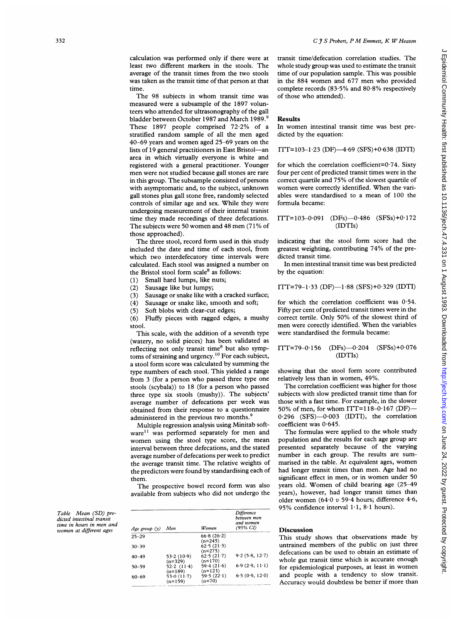calculation was performed only if there were at least two different markers in the stools. The average of the transit times from the two stools was taken as the transit time of that person at that time.

The 98 subjects in whom transit time was measured were a subsample of the 1897 volunteers who attended for ultrasonography of the gall bladder between October 1987 and March 1989.<sup>9</sup> These 1897 people comprised 72-2% of <sup>a</sup> stratified random sample of all the men aged 40-69 years and women aged 25-69 years on the lists of 19 general practitioners in East Bristol-an area in which virtually everyone is white and registered with a general practitioner. Younger men were not studied because gall stones are rare in this group. The subsample consisted of persons with asymptomatic and, to the subject, unknown gall stones plus gall stone free, randomly selected controls of similar age and sex. While they were undergoing measurement of their intemal tranist time they made recordings of three defecations. The subjects were 50 women and 48 men (71% of those approached).

The three stool, record form used in this study included the date and time of each stool, from which two interdefecatory time intervals were calculated. Each stool was assigned <sup>a</sup> number on the Bristol stool form scale<sup>8</sup> as follows:

(1) Small hard lumps, like nuts;

(2) Sausage like but lumpy;<br>(3) Sausage or snake like wit Sausage or snake like with a cracked surface;

(4) Sausage or snake like, smooth and soft;

(5) Soft blobs with clear-cut edges;

(6) Fluffy pieces with ragged edges, <sup>a</sup> mushy stool.

This scale, with the addition of a seventh type (watery, no solid pieces) has been validated as reflecting not only transit time<sup>8</sup> but also symptoms of straining and urgency.'0 For each subject, <sup>a</sup> stool form score was calculated by summing the type numbers of each stool. This yielded a range from <sup>3</sup> (for <sup>a</sup> person who passed three type one stools (scybala)) to 18 (for <sup>a</sup> person who passed three type six stools (mushy)). The subjects' average number of defecations per week was obtained from their response to a questionnaire administered in the previous two months.<sup>9</sup>

Multiple regression analysis using Minitab software<sup>11</sup> was performed separately for men and women using the stool type score, the mean interval between three defecations, and the stated average number of defecations per week to predict the average transit time. The relative weights of the predictors were found by standardising each of them.

The prospective bowel record form was also available from subjects who did not undergo the

| Age group (y) | Men                                  | Women                                | Difference<br>between men<br>and women<br>(95% CI) |
|---------------|--------------------------------------|--------------------------------------|----------------------------------------------------|
| $25 - 29$     |                                      | 66.8(26.2)                           |                                                    |
| $30 - 39$     |                                      | $(n=245)$<br>62.5(21.3)<br>$(n=275)$ |                                                    |
| $40 - 49$     | 53.2(10.9)<br>$(n=329)$              | 62.5(21.7)<br>$(n=170)$              | 9.2(5.8, 12.7)                                     |
| $50 - 59$     | 52.2(11.4)                           | 59.4(21.6)                           | 6.9(2.9, 11.1)                                     |
| $60 - 69$     | $(n=189)$<br>53.0(11.7)<br>$(n=159)$ | $(n=121)$<br>59.5(22.1)<br>$(n=70)$  | 6.5(0.9, 12.0)                                     |

# C  $f S$  Probert, P M Emmett, K W Heaton

transit time/defecation correlation studies. The whole study group was used to estimate the transit time of our population sample. This was possible in the 884 women and 677 men who provided complete records (83-5% and 80-8% respectively of those who attended).

#### Results

In women intestinal transit time was best predicted by the equation:

 $ITT=103-1.23$  (DF) $-4.69$  (SFS) $+0.638$  (IDTI)

for which the correlation coefficient= $0.74$ . Sixty four per cent of predicted transit times were in the correct quartile and 75% of the slowest quartile of women were correctly identified. When the variables were standardised to <sup>a</sup> mean of 100 the formula became:

$$
ITT=103-0.091 \quad (DFs) -0.486 \quad (SFSs)+0.172
$$
  
(IDTIs)

indicating that the stool form score had the greatest weighting, contributing 74% of the predicted transit time.

In men intestinal transit time was best predicted by the equation:

$$
ITT = 79-1.33 (DF) - 1.88 (SFS) + 0.329 (IDTI)
$$

for which the correlation coefficient was  $0.54$ . Fifty per cent of predicted transit times were in the correct tertile. Only 50% of the slowest third of men were corectly identified. When the variables were standardised the formula became:

$$
ITT=79-0.156 \t(DFs) - 0.204 \t(SFSs) + 0.076
$$
  
(IDTIs)

showing that the stool form score contributed relatively less than in women, 49%.

The correlation coefficient was higher for those subjects with slow predicted transit time than for those with a fast time. For example, in the slower 50% of men, for whom ITT= $118-0.167$  (DF)- $0.296$  (SFS) $-0.003$  (IDTI), the correlation coefficient was 0-645.

The formulas were applied to the whole study population and the results for each age group are presented separately because of the varying number in each group. The results are summarised in the table. At equivalent ages, women had longer transit times than men. Age had no significant effect in men, or in women under 50 years old. Women of child bearing age (25-49 years), however, had longer transit times than older women (64 $0$  v 59 $-4$  hours; difference 4 $-6$ , 95% confidence interval  $1.1$ ,  $8.1$  hours).

## **Discussion**

This study shows that observations made by untrained members of the public on just three defecations can be used to obtain an estimate of whole gut transit time which is accurate enough for epidemiological purposes, at least in women and people with a tendency to slow transit. Accuracy would doubtless be better if more than

Table Mean (SD) predicted intestinal transit time in hours in men and women at different ages